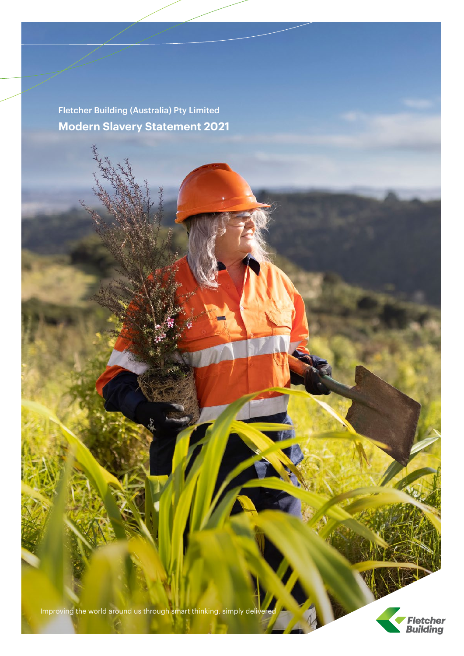Fletcher Building (Australia) Pty Limited **Modern Slavery Statement 2021**

Improving the world around us through smart thinking, simply delivered

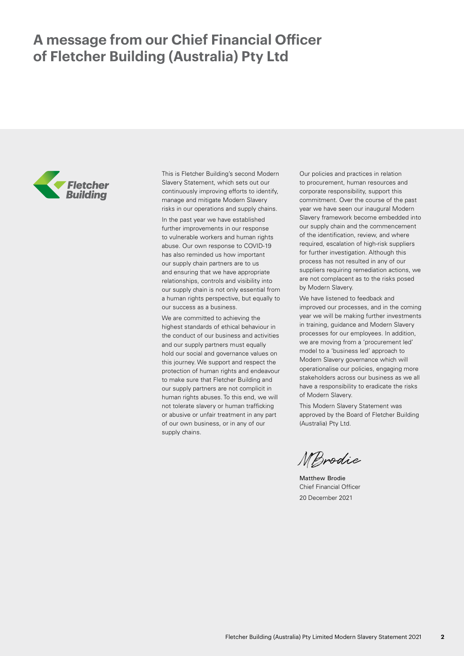## **A message from our Chief Financial Officer of Fletcher Building (Australia) Pty Ltd**



This is Fletcher Building's second Modern Slavery Statement, which sets out our continuously improving efforts to identify, manage and mitigate Modern Slavery risks in our operations and supply chains.

In the past year we have established further improvements in our response to vulnerable workers and human rights abuse. Our own response to COVID-19 has also reminded us how important our supply chain partners are to us and ensuring that we have appropriate relationships, controls and visibility into our supply chain is not only essential from a human rights perspective, but equally to our success as a business.

We are committed to achieving the highest standards of ethical behaviour in the conduct of our business and activities and our supply partners must equally hold our social and governance values on this journey. We support and respect the protection of human rights and endeavour to make sure that Fletcher Building and our supply partners are not complicit in human rights abuses. To this end, we will not tolerate slavery or human trafficking or abusive or unfair treatment in any part of our own business, or in any of our supply chains.

Our policies and practices in relation to procurement, human resources and corporate responsibility, support this commitment. Over the course of the past year we have seen our inaugural Modern Slavery framework become embedded into our supply chain and the commencement of the identification, review, and where required, escalation of high-risk suppliers for further investigation. Although this process has not resulted in any of our suppliers requiring remediation actions, we are not complacent as to the risks posed by Modern Slavery.

We have listened to feedback and improved our processes, and in the coming year we will be making further investments in training, guidance and Modern Slavery processes for our employees. In addition, we are moving from a 'procurement led' model to a 'business led' approach to Modern Slavery governance which will operationalise our policies, engaging more stakeholders across our business as we all have a responsibility to eradicate the risks of Modern Slavery.

This Modern Slavery Statement was approved by the Board of Fletcher Building (Australia) Pty Ltd.

MBrodie

Matthew Brodie Chief Financial Officer 20 December 2021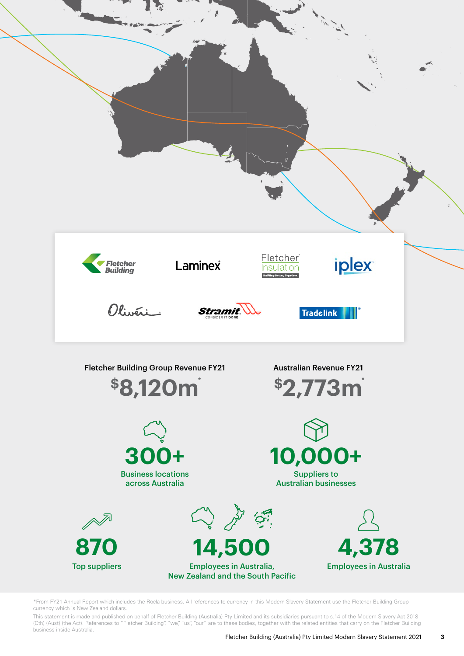

\*From FY21 Annual Report which includes the Rocla business. All references to currency in this Modern Slavery Statement use the Fletcher Building Group currency which is New Zealand dollars.

This statement is made and published on behalf of Fletcher Building (Australia) Pty Limited and its subsidiaries pursuant to s.14 of the Modern Slavery Act 2018 (Cth) (Aust) (the Act). References to "Fletcher Building", "we", "us", "our" are to these bodies, together with the related entities that carry on the Fletcher Building business inside Australia.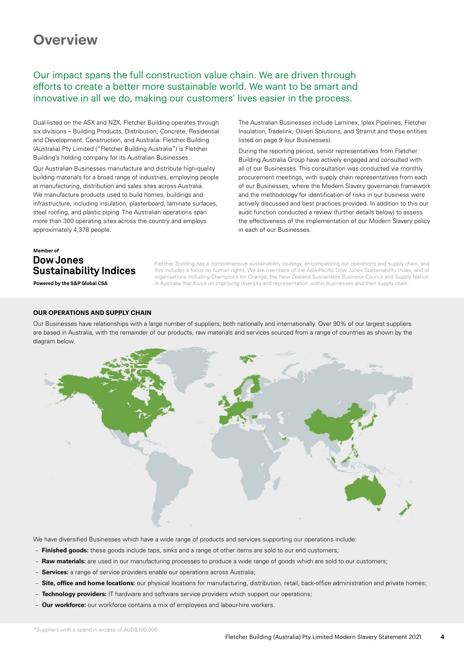## **Overview**

### Our impact spans the full construction value chain. We are driven through efforts to create a better more sustainable world. We want to be smart and innovative in all we do, making our customers' lives easier in the process.

Dual-listed on the ASX and NZX, Fletcher Building operates through six divisions – Building Products, Distribution, Concrete, Residential and Development, Construction, and Australia. Fletcher Building (Australia) Pty Limited ("Fletcher Building Australia") is Fletcher Building's holding company for its Australian Businesses.

Our Australian Businesses manufacture and distribute high-quality building materials for a broad range of industries, employing people at manufacturing, distribution and sales sites across Australia. We manufacture products used to build homes, buildings and infrastructure, including insulation, plasterboard, laminate surfaces, steel roofing, and plastic piping. The Australian operations span more than 300 operating sites across the country and employs approximately 4,378 people.

### The Australian Businesses include Laminex, Iplex Pipelines, Fletcher Insulation, Tradelink, Oliveri Solutions, and Stramit and those entities listed on page 9 (our Businesses).

During the reporting period, senior representatives from Fletcher Building Australia Group have actively engaged and consulted with all of our Businesses. This consultation was conducted via monthly procurement meetings, with supply chain representatives from each of our Businesses, where the Modern Slavery governance framework and the methodology for identification of risks in our business were actively discussed and best practices provided. In addition to this our audit function conducted a review (further details below) to assess the effectiveness of the implementation of our Modern Slavery policy in each of our Businesses.

### Member of **Dow Jones Sustainability Indices**

Powered by the S&P Global CSA

Fletcher Building has a comprehensive sustainability strategy, encompassing our operations and supply chain, and this includes a focus on human rights. We are members of the Asia-Pacific Dow Jones Sustainability Index, and of organisations including Champions for Change, the New Zealand Sustainable Business Council and Supply Nation in Australia that focus on improving diversity and representation within businesses and their supply chain.

#### **OUR OPERATIONS AND SUPPLY CHAIN**

Our Businesses have relationships with a large number of suppliers, both nationally and internationally. Over 90% of our largest suppliers are based in Australia, with the remainder of our products, raw materials and services sourced from a range of countries as shown by the diagram below.



We have diversified Businesses which have a wide range of products and services supporting our operations include:

- **Finished goods:** these goods include taps, sinks and a range of other items are sold to our end customers;
- **Raw materials:** are used in our manufacturing processes to produce a wide range of goods which are sold to our customers;
- **Services:** a range of service providers enable our operations across Australia;
- **Site, office and home locations:** our physical locations for manufacturing, distribution, retail, back-office administration and private homes;
- **Technology providers:** IT hardware and software service providers which support our operations;
- **Our workforce:** our workforce contains a mix of employees and labour-hire workers.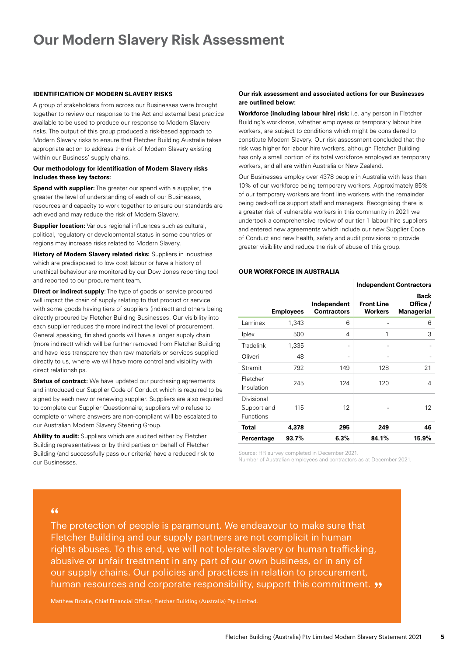## **Our Modern Slavery Risk Assessment**

#### **IDENTIFICATION OF MODERN SLAVERY RISKS**

A group of stakeholders from across our Businesses were brought together to review our response to the Act and external best practice available to be used to produce our response to Modern Slavery risks. The output of this group produced a risk-based approach to Modern Slavery risks to ensure that Fletcher Building Australia takes appropriate action to address the risk of Modern Slavery existing within our Business' supply chains.

#### **Our methodology for identification of Modern Slavery risks includes these key factors:**

**Spend with supplier:** The greater our spend with a supplier, the greater the level of understanding of each of our Businesses, resources and capacity to work together to ensure our standards are achieved and may reduce the risk of Modern Slavery.

**Supplier location:** Various regional influences such as cultural, political, regulatory or developmental status in some countries or regions may increase risks related to Modern Slavery.

**History of Modern Slavery related risks:** Suppliers in industries which are predisposed to low cost labour or have a history of unethical behaviour are monitored by our Dow Jones reporting tool and reported to our procurement team.

**Direct or indirect supply**: The type of goods or service procured will impact the chain of supply relating to that product or service with some goods having tiers of suppliers (indirect) and others being directly procured by Fletcher Building Businesses. Our visibility into each supplier reduces the more indirect the level of procurement. General speaking, finished goods will have a longer supply chain (more indirect) which will be further removed from Fletcher Building and have less transparency than raw materials or services supplied directly to us, where we will have more control and visibility with direct relationships.

**Status of contract:** We have updated our purchasing agreements and introduced our Supplier Code of Conduct which is required to be signed by each new or renewing supplier. Suppliers are also required to complete our Supplier Questionnaire; suppliers who refuse to complete or where answers are non-compliant will be escalated to our Australian Modern Slavery Steering Group.

**Ability to audit:** Suppliers which are audited either by Fletcher Building representatives or by third parties on behalf of Fletcher Building (and successfully pass our criteria) have a reduced risk to our Businesses.

#### **Our risk assessment and associated actions for our Businesses are outlined below:**

**Workforce (including labour hire) risk:** i.e. any person in Fletcher Building's workforce, whether employees or temporary labour hire workers, are subject to conditions which might be considered to constitute Modern Slavery. Our risk assessment concluded that the risk was higher for labour hire workers, although Fletcher Building has only a small portion of its total workforce employed as temporary workers, and all are within Australia or New Zealand.

Our Businesses employ over 4378 people in Australia with less than 10% of our workforce being temporary workers. Approximately 85% of our temporary workers are front line workers with the remainder being back-office support staff and managers. Recognising there is a greater risk of vulnerable workers in this community in 2021 we undertook a comprehensive review of our tier 1 labour hire suppliers and entered new agreements which include our new Supplier Code of Conduct and new health, safety and audit provisions to provide greater visibility and reduce the risk of abuse of this group.

#### **OUR WORKFORCE IN AUSTRALIA**

|                                               |                  |                                   |                                     | <b>Independent Contractors</b>        |
|-----------------------------------------------|------------------|-----------------------------------|-------------------------------------|---------------------------------------|
|                                               | <b>Employees</b> | Independent<br><b>Contractors</b> | <b>Front Line</b><br><b>Workers</b> | Back<br>Office /<br><b>Managerial</b> |
| Laminex                                       | 1,343            | 6                                 |                                     | 6                                     |
| <i>lplex</i>                                  | 500              | 4                                 | 1                                   | 3                                     |
| <b>Tradelink</b>                              | 1,335            | $\qquad \qquad -$                 |                                     |                                       |
| Oliveri                                       | 48               | -                                 |                                     |                                       |
| Stramit                                       | 792              | 149                               | 128                                 | 21                                    |
| Fletcher<br>Insulation                        | 245              | 124                               | 120                                 | 4                                     |
| Divisional<br>Support and<br><b>Functions</b> | 115              | 12                                |                                     | 12                                    |
| <b>Total</b>                                  | 4,378            | 295                               | 249                                 | 46                                    |
| Percentage                                    | 93.7%            | 6.3%                              | 84.1%                               | 15.9%                                 |

Source: HR survey completed in December 2021.

Number of Australian employees and contractors as at December 2021.

### $66$

The protection of people is paramount. We endeavour to make sure that Fletcher Building and our supply partners are not complicit in human rights abuses. To this end, we will not tolerate slavery or human trafficking, abusive or unfair treatment in any part of our own business, or in any of our supply chains. Our policies and practices in relation to procurement, human resources and corporate responsibility, support this commitment.  $\rightarrow$ 

Matthew Brodie, Chief Financial Officer, Fletcher Building (Australia) Pty Limited.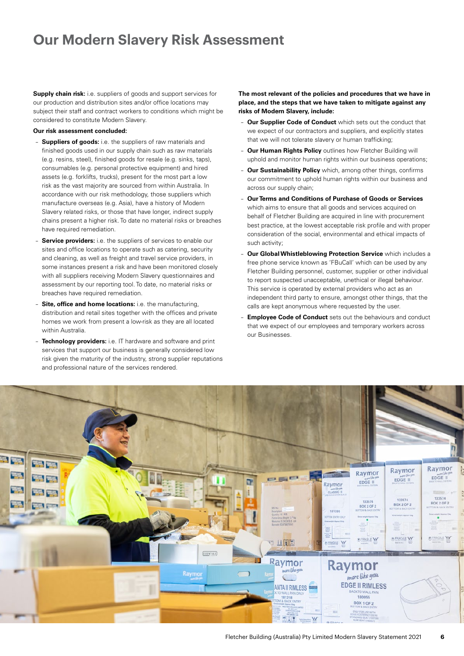## **Our Modern Slavery Risk Assessment**

**Supply chain risk:** i.e. suppliers of goods and support services for our production and distribution sites and/or office locations may subject their staff and contract workers to conditions which might be considered to constitute Modern Slavery.

#### **Our risk assessment concluded:**

- **Suppliers of goods:** i.e. the suppliers of raw materials and finished goods used in our supply chain such as raw materials (e.g. resins, steel), finished goods for resale (e.g. sinks, taps), consumables (e.g. personal protective equipment) and hired assets (e.g. forklifts, trucks), present for the most part a low risk as the vast majority are sourced from within Australia. In accordance with our risk methodology, those suppliers which manufacture overseas (e.g. Asia), have a history of Modern Slavery related risks, or those that have longer, indirect supply chains present a higher risk. To date no material risks or breaches have required remediation.
- **Service providers:** i.e. the suppliers of services to enable our sites and office locations to operate such as catering, security and cleaning, as well as freight and travel service providers, in some instances present a risk and have been monitored closely with all suppliers receiving Modern Slavery questionnaires and assessment by our reporting tool. To date, no material risks or breaches have required remediation.
- **Site, office and home locations:** i.e. the manufacturing, distribution and retail sites together with the offices and private homes we work from present a low-risk as they are all located within Australia.
- **Technology providers:** i.e. IT hardware and software and print services that support our business is generally considered low risk given the maturity of the industry, strong supplier reputations and professional nature of the services rendered.

#### **The most relevant of the policies and procedures that we have in place, and the steps that we have taken to mitigate against any risks of Modern Slavery, include:**

- **Our Supplier Code of Conduct** which sets out the conduct that we expect of our contractors and suppliers, and explicitly states that we will not tolerate slavery or human trafficking;
- **Our Human Rights Policy** outlines how Fletcher Building will uphold and monitor human rights within our business operations;
- **Our Sustainability Policy** which, among other things, confirms our commitment to uphold human rights within our business and across our supply chain;
- **Our Terms and Conditions of Purchase of Goods or Services** which aims to ensure that all goods and services acquired on behalf of Fletcher Building are acquired in line with procurement best practice, at the lowest acceptable risk profile and with proper consideration of the social, environmental and ethical impacts of such activity;
- **Our Global Whistleblowing Protection Service** which includes a free phone service known as 'FBuCall' which can be used by any Fletcher Building personnel, customer, supplier or other individual to report suspected unacceptable, unethical or illegal behaviour. This service is operated by external providers who act as an independent third party to ensure, amongst other things, that the calls are kept anonymous where requested by the user.
- **Employee Code of Conduct** sets out the behaviours and conduct that we expect of our employees and temporary workers across our Businesses.

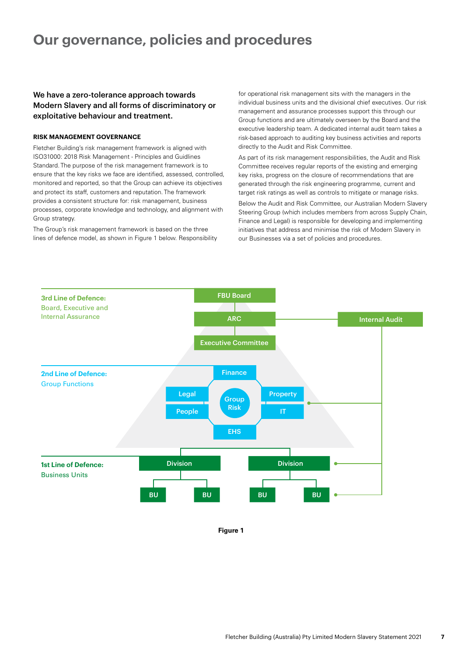## **Our governance, policies and procedures**

### We have a zero-tolerance approach towards Modern Slavery and all forms of discriminatory or exploitative behaviour and treatment.

#### **RISK MANAGEMENT GOVERNANCE**

Fletcher Building's risk management framework is aligned with ISO31000: 2018 Risk Management - Principles and Guidlines Standard. The purpose of the risk management framework is to ensure that the key risks we face are identified, assessed, controlled, monitored and reported, so that the Group can achieve its objectives and protect its staff, customers and reputation. The framework provides a consistent structure for: risk management, business processes, corporate knowledge and technology, and alignment with Group strategy.

The Group's risk management framework is based on the three lines of defence model, as shown in Figure 1 below. Responsibility for operational risk management sits with the managers in the individual business units and the divisional chief executives. Our risk management and assurance processes support this through our Group functions and are ultimately overseen by the Board and the executive leadership team. A dedicated internal audit team takes a risk-based approach to auditing key business activities and reports directly to the Audit and Risk Committee.

As part of its risk management responsibilities, the Audit and Risk Committee receives regular reports of the existing and emerging key risks, progress on the closure of recommendations that are generated through the risk engineering programme, current and target risk ratings as well as controls to mitigate or manage risks.

Below the Audit and Risk Committee, our Australian Modern Slavery Steering Group (which includes members from across Supply Chain, Finance and Legal) is responsible for developing and implementing initiatives that address and minimise the risk of Modern Slavery in our Businesses via a set of policies and procedures.



**Figure 1**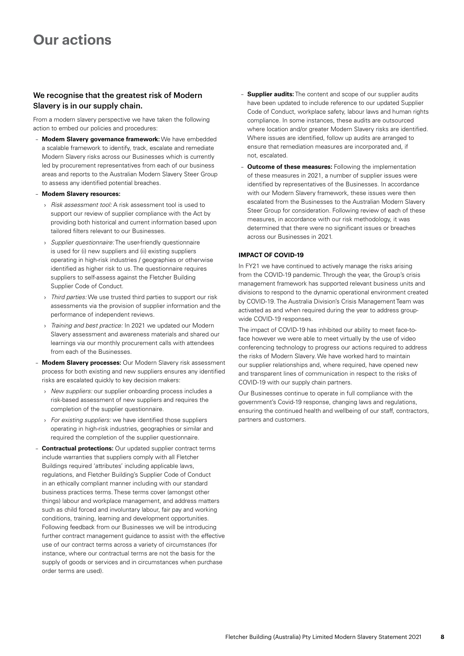## **Our actions**

### We recognise that the greatest risk of Modern Slavery is in our supply chain.

From a modern slavery perspective we have taken the following action to embed our policies and procedures:

- **Modern Slavery governance framework:** We have embedded a scalable framework to identify, track, escalate and remediate Modern Slavery risks across our Businesses which is currently led by procurement representatives from each of our business areas and reports to the Australian Modern Slavery Steer Group to assess any identified potential breaches.
- **Modern Slavery resources:** 
	- › Risk assessment tool: A risk assessment tool is used to support our review of supplier compliance with the Act by providing both historical and current information based upon tailored filters relevant to our Businesses.
	- › Supplier questionnaire: The user-friendly questionnaire is used for (i) new suppliers and (ii) existing suppliers operating in high-risk industries / geographies or otherwise identified as higher risk to us. The questionnaire requires suppliers to self-assess against the Fletcher Building Supplier Code of Conduct.
	- > Third parties: We use trusted third parties to support our risk assessments via the provision of supplier information and the performance of independent reviews.
	- › Training and best practice: In 2021 we updated our Modern Slavery assessment and awareness materials and shared our learnings via our monthly procurement calls with attendees from each of the Businesses.
- **Modern Slavery processes:** Our Modern Slavery risk assessment process for both existing and new suppliers ensures any identified risks are escalated quickly to key decision makers:
	- › New suppliers: our supplier onboarding process includes a risk-based assessment of new suppliers and requires the completion of the supplier questionnaire.
	- › For existing suppliers: we have identified those suppliers operating in high-risk industries, geographies or similar and required the completion of the supplier questionnaire.
- **Contractual protections:** Our updated supplier contract terms include warranties that suppliers comply with all Fletcher Buildings required 'attributes' including applicable laws, regulations, and Fletcher Building's Supplier Code of Conduct in an ethically compliant manner including with our standard business practices terms. These terms cover (amongst other things) labour and workplace management, and address matters such as child forced and involuntary labour, fair pay and working conditions, training, learning and development opportunities. Following feedback from our Businesses we will be introducing further contract management guidance to assist with the effective use of our contract terms across a variety of circumstances (for instance, where our contractual terms are not the basis for the supply of goods or services and in circumstances when purchase order terms are used).
- **Supplier audits:** The content and scope of our supplier audits have been updated to include reference to our updated Supplier Code of Conduct, workplace safety, labour laws and human rights compliance. In some instances, these audits are outsourced where location and/or greater Modern Slavery risks are identified. Where issues are identified, follow up audits are arranged to ensure that remediation measures are incorporated and, if not, escalated.
- **Outcome of these measures:** Following the implementation of these measures in 2021, a number of supplier issues were identified by representatives of the Businesses. In accordance with our Modern Slavery framework, these issues were then escalated from the Businesses to the Australian Modern Slavery Steer Group for consideration. Following review of each of these measures, in accordance with our risk methodology, it was determined that there were no significant issues or breaches across our Businesses in 2021.

#### **IMPACT OF COVID-19**

In FY21 we have continued to actively manage the risks arising from the COVID-19 pandemic. Through the year, the Group's crisis management framework has supported relevant business units and divisions to respond to the dynamic operational environment created by COVID-19. The Australia Division's Crisis Management Team was activated as and when required during the year to address groupwide COVID-19 responses.

The impact of COVID-19 has inhibited our ability to meet face-toface however we were able to meet virtually by the use of video conferencing technology to progress our actions required to address the risks of Modern Slavery. We have worked hard to maintain our supplier relationships and, where required, have opened new and transparent lines of communication in respect to the risks of COVID-19 with our supply chain partners.

Our Businesses continue to operate in full compliance with the government's Covid-19 response, changing laws and regulations, ensuring the continued health and wellbeing of our staff, contractors, partners and customers.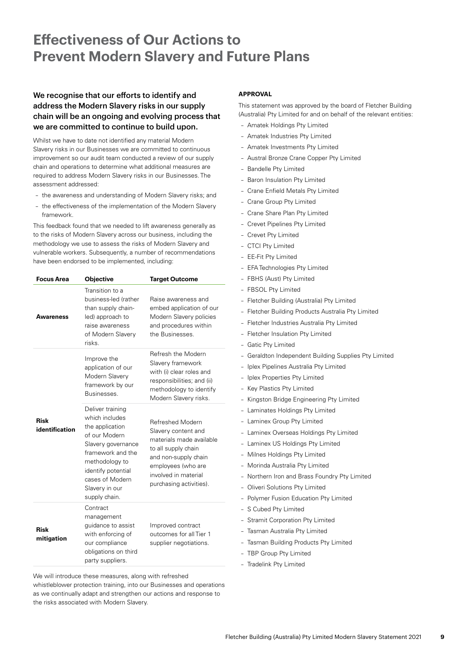# **Effectiveness of Our Actions to Prevent Modern Slavery and Future Plans**

### We recognise that our efforts to identify and address the Modern Slavery risks in our supply chain will be an ongoing and evolving process that we are committed to continue to build upon.

Whilst we have to date not identified any material Modern Slavery risks in our Businesses we are committed to continuous improvement so our audit team conducted a review of our supply chain and operations to determine what additional measures are required to address Modern Slavery risks in our Businesses. The assessment addressed:

- the awareness and understanding of Modern Slavery risks; and
- the effectiveness of the implementation of the Modern Slavery framework.

This feedback found that we needed to lift awareness generally as to the risks of Modern Slavery across our business, including the methodology we use to assess the risks of Modern Slavery and vulnerable workers. Subsequently, a number of recommendations have been endorsed to be implemented, including:

| <b>Focus Area</b>             | Objective                                                                                                                                                                                                       | <b>Target Outcome</b>                                                                                                                                                                       |  |
|-------------------------------|-----------------------------------------------------------------------------------------------------------------------------------------------------------------------------------------------------------------|---------------------------------------------------------------------------------------------------------------------------------------------------------------------------------------------|--|
| Awareness                     | Transition to a<br>business-led (rather<br>than supply chain-<br>led) approach to<br>raise awareness<br>of Modern Slavery<br>risks.                                                                             | Raise awareness and<br>embed application of our<br>Modern Slavery policies<br>and procedures within<br>the Businesses.                                                                      |  |
|                               | Improve the<br>application of our<br>Modern Slavery<br>framework by our<br>Businesses.                                                                                                                          | Refresh the Modern<br>Slavery framework<br>with (i) clear roles and<br>responsibilities; and (ii)<br>methodology to identify<br>Modern Slavery risks.                                       |  |
| <b>Risk</b><br>identification | Deliver training<br>which includes<br>the application<br>of our Modern<br>Slavery governance<br>framework and the<br>methodology to<br>identify potential<br>cases of Modern<br>Slavery in our<br>supply chain. | Refreshed Modern<br>Slavery content and<br>materials made available<br>to all supply chain<br>and non-supply chain<br>employees (who are<br>involved in material<br>purchasing activities). |  |
| Risk<br>mitigation            | Contract<br>management<br>guidance to assist<br>with enforcing of<br>our compliance<br>obligations on third<br>party suppliers.                                                                                 | Improved contract<br>outcomes for all Tier 1<br>supplier negotiations.                                                                                                                      |  |

We will introduce these measures, along with refreshed

whistleblower protection training, into our Businesses and operations as we continually adapt and strengthen our actions and response to the risks associated with Modern Slavery.

#### **APPROVAL**

This statement was approved by the board of Fletcher Building (Australia) Pty Limited for and on behalf of the relevant entities:

- Amatek Holdings Pty Limited
- Amatek Industries Pty Limited
- Amatek Investments Pty Limited
- Austral Bronze Crane Copper Pty Limited
- Bandelle Pty Limited
- Baron Insulation Pty Limited
- Crane Enfield Metals Pty Limited
- Crane Group Pty Limited
- Crane Share Plan Pty Limited
- Crevet Pipelines Pty Limited
- Crevet Pty Limited
- CTCI Pty Limited
- EE-Fit Pty Limited
- EFA Technologies Pty Limited
- FBHS (Aust) Pty Limited
- FBSOL Pty Limited
- Fletcher Building (Australia) Pty Limited
- Fletcher Building Products Australia Pty Limited
- Fletcher Industries Australia Pty Limited
- Fletcher Insulation Pty Limited
- Gatic Pty Limited
- Geraldton Independent Building Supplies Pty Limited
- Iplex Pipelines Australia Pty Limited
- Iplex Properties Pty Limited
- Key Plastics Pty Limited
- Kingston Bridge Engineering Pty Limited
- Laminates Holdings Pty Limited
- Laminex Group Pty Limited
- Laminex Overseas Holdings Pty Limited
- Laminex US Holdings Pty Limited
- Milnes Holdings Pty Limited
- Morinda Australia Pty Limited
- Northern Iron and Brass Foundry Pty Limited
- Oliveri Solutions Pty Limited
- Polymer Fusion Education Pty Limited
- S Cubed Pty Limited
- Stramit Corporation Pty Limited
- Tasman Australia Pty Limited
- Tasman Building Products Pty Limited
- TBP Group Pty Limited
- Tradelink Pty Limited